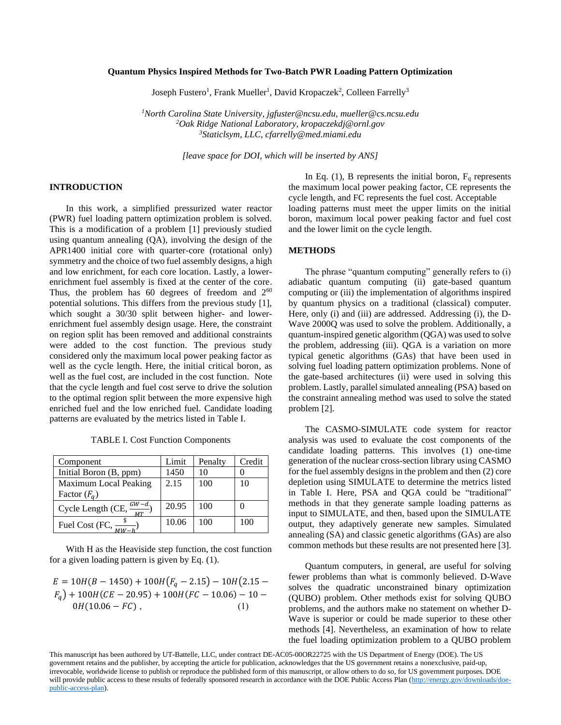#### **Quantum Physics Inspired Methods for Two-Batch PWR Loading Pattern Optimization**

Joseph Fustero<sup>1</sup>, Frank Mueller<sup>1</sup>, David Kropaczek<sup>2</sup>, Colleen Farrelly<sup>3</sup>

*<sup>1</sup>North Carolina State University, jgfuster@ncsu.edu, mueller@cs.ncsu.edu <sup>2</sup>Oak Ridge National Laboratory, kropaczekdj@ornl.gov <sup>3</sup>Staticlsym, LLC, cfarrelly@med.miami.edu*

*[leave space for DOI, which will be inserted by ANS]*

# **INTRODUCTION**

In this work, a simplified pressurized water reactor (PWR) fuel loading pattern optimization problem is solved. This is a modification of a problem [1] previously studied using quantum annealing (QA), involving the design of the APR1400 initial core with quarter-core (rotational only) symmetry and the choice of two fuel assembly designs, a high and low enrichment, for each core location. Lastly, a lowerenrichment fuel assembly is fixed at the center of the core. Thus, the problem has  $60$  degrees of freedom and  $2^{60}$ potential solutions. This differs from the previous study [1], which sought a  $30/30$  split between higher- and lowerenrichment fuel assembly design usage. Here, the constraint on region split has been removed and additional constraints were added to the cost function. The previous study considered only the maximum local power peaking factor as well as the cycle length. Here, the initial critical boron, as well as the fuel cost, are included in the cost function. Note that the cycle length and fuel cost serve to drive the solution to the optimal region split between the more expensive high enriched fuel and the low enriched fuel. Candidate loading patterns are evaluated by the metrics listed in Table I.

TABLE I. Cost Function Components

| Component                                    | Limit | Penalty | Credit |
|----------------------------------------------|-------|---------|--------|
| Initial Boron (B, ppm)                       | 1450  | 10      |        |
| Maximum Local Peaking                        | 2.15  | 100     | 10     |
| Factor $(F_a)$                               |       |         |        |
| Cycle Length (CE, $\frac{GW-d}{\sqrt{GM}}$ ) | 20.95 | 100     |        |
| Fuel Cost (FC, $\frac{v}{M M_b}$ )           | 10.06 | 100     | 100    |

With H as the Heaviside step function, the cost function for a given loading pattern is given by Eq. (1).

$$
E = 10H(B - 1450) + 100H(F_q - 2.15) - 10H(2.15 - F_q) + 100H(CE - 20.95) + 100H(FC - 10.06) - 10 - 0H(10.06 - FC),
$$
\n(1)

In Eq. (1), B represents the initial boron,  $F_q$  represents the maximum local power peaking factor, CE represents the cycle length, and FC represents the fuel cost. Acceptable loading patterns must meet the upper limits on the initial boron, maximum local power peaking factor and fuel cost and the lower limit on the cycle length.

# **METHODS**

The phrase "quantum computing" generally refers to (i) adiabatic quantum computing (ii) gate-based quantum computing or (iii) the implementation of algorithms inspired by quantum physics on a traditional (classical) computer. Here, only (i) and (iii) are addressed. Addressing (i), the D-Wave 2000Q was used to solve the problem. Additionally, a quantum-inspired genetic algorithm (QGA) was used to solve the problem, addressing (iii). QGA is a variation on more typical genetic algorithms (GAs) that have been used in solving fuel loading pattern optimization problems. None of the gate-based architectures (ii) were used in solving this problem. Lastly, parallel simulated annealing (PSA) based on the constraint annealing method was used to solve the stated problem [2].

The CASMO-SIMULATE code system for reactor analysis was used to evaluate the cost components of the candidate loading patterns. This involves (1) one-time generation of the nuclear cross-section library using CASMO for the fuel assembly designs in the problem and then (2) core depletion using SIMULATE to determine the metrics listed in Table I. Here, PSA and QGA could be "traditional" methods in that they generate sample loading patterns as input to SIMULATE, and then, based upon the SIMULATE output, they adaptively generate new samples. Simulated annealing (SA) and classic genetic algorithms (GAs) are also common methods but these results are not presented here [3].

Quantum computers, in general, are useful for solving fewer problems than what is commonly believed. D-Wave solves the quadratic unconstrained binary optimization (QUBO) problem. Other methods exist for solving QUBO problems, and the authors make no statement on whether D-Wave is superior or could be made superior to these other methods [4]. Nevertheless, an examination of how to relate the fuel loading optimization problem to a QUBO problem

This manuscript has been authored by UT-Battelle, LLC, under contract DE-AC05-00OR22725 with the US Department of Energy (DOE). The US government retains and the publisher, by accepting the article for publication, acknowledges that the US government retains a nonexclusive, paid-up, irrevocable, worldwide license to publish or reproduce the published form of this manuscript, or allow others to do so, for US government purposes. DOE will provide public access to these results of federally sponsored research in accordance with the DOE Public Access Plan [\(http://energy.gov/downloads/doe](http://energy.gov/downloads/doe-public-access-plan)[public-access-plan\)](http://energy.gov/downloads/doe-public-access-plan).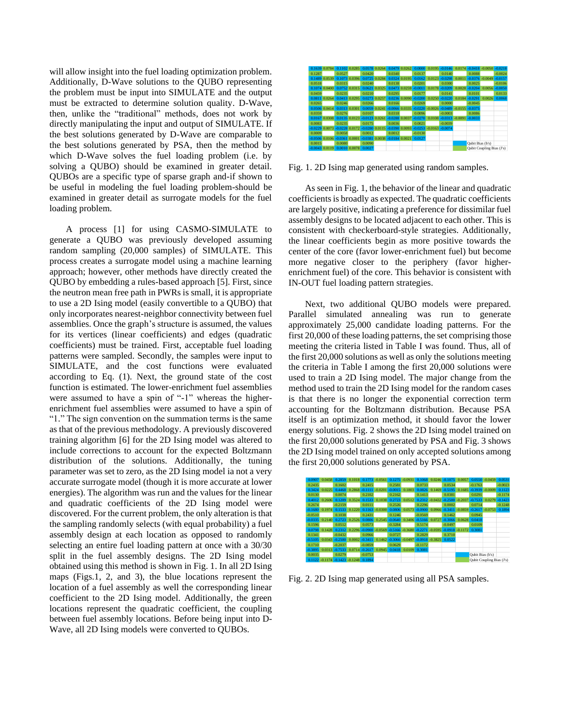will allow insight into the fuel loading optimization problem. Additionally, D-Wave solutions to the QUBO representing the problem must be input into SIMULATE and the output must be extracted to determine solution quality. D-Wave, then, unlike the "traditional" methods, does not work by directly manipulating the input and output of SIMULATE. If the best solutions generated by D-Wave are comparable to the best solutions generated by PSA, then the method by which D-Wave solves the fuel loading problem (i.e. by solving a QUBO) should be examined in greater detail. QUBOs are a specific type of sparse graph and-if shown to be useful in modeling the fuel loading problem-should be examined in greater detail as surrogate models for the fuel loading problem.

A process [1] for using CASMO-SIMULATE to generate a QUBO was previously developed assuming random sampling (20,000 samples) of SIMULATE. This process creates a surrogate model using a machine learning approach; however, other methods have directly created the QUBO by embedding a rules-based approach [5]. First, since the neutron mean free path in PWRs is small, it is appropriate to use a 2D Ising model (easily convertible to a QUBO) that only incorporates nearest-neighbor connectivity between fuel assemblies. Once the graph's structure is assumed, the values for its vertices (linear coefficients) and edges (quadratic coefficients) must be trained. First, acceptable fuel loading patterns were sampled. Secondly, the samples were input to SIMULATE, and the cost functions were evaluated according to Eq. (1). Next, the ground state of the cost function is estimated. The lower-enrichment fuel assemblies were assumed to have a spin of "-1" whereas the higherenrichment fuel assemblies were assumed to have a spin of "1." The sign convention on the summation terms is the same as that of the previous methodology. A previously discovered training algorithm [6] for the 2D Ising model was altered to include corrections to account for the expected Boltzmann distribution of the solutions. Additionally, the tuning parameter was set to zero, as the 2D Ising model ia not a very accurate surrogate model (though it is more accurate at lower energies). The algorithm was run and the values for the linear and quadratic coefficients of the 2D Ising model were discovered. For the current problem, the only alteration is that the sampling randomly selects (with equal probability) a fuel assembly design at each location as opposed to randomly selecting an entire fuel loading pattern at once with a 30/30 split in the fuel assembly designs. The 2D Ising model obtained using this method is shown in Fig. 1. In all 2D Ising maps (Figs.1, 2, and 3), the blue locations represent the location of a fuel assembly as well the corresponding linear coefficient to the 2D Ising model. Additionally, the green locations represent the quadratic coefficient, the coupling between fuel assembly locations. Before being input into D-Wave, all 2D Ising models were converted to QUBOs.

| 0.1639 0.0784      | 0.1102 0.0285      | 0.0578 0.0264    | 0.0479 0.0262      | 0.0000<br>0.0195       | $-0.0146$<br>0.0174 | $-0.0418 - 0.0050$        | $-0.0218$ |  |
|--------------------|--------------------|------------------|--------------------|------------------------|---------------------|---------------------------|-----------|--|
| 0.1287             | 0.0527             | 0.0420           | 0.0340             | 0.0137                 | 0.0140              | 0.0088                    | $-0.0024$ |  |
| 0.1489 0.0539      | 0.1073 0.0396      | 0.0725 0.0284    | 0.0324.0.0195      | 0.0123<br>0.0162       | $-0.0298$<br>0.0011 | $-0.0376 - 0.0049$        | $-0.0157$ |  |
| 0.0518             | 0.0315             | 0.0240           | 0.0138             | 0.0201                 | 0.0300              | 0.0025                    | $-0.0106$ |  |
| 0.1074 0.0400      | 0.0752 0.0315      | 0.0621 0.0325    | 0.0473 0.0259      | 0.0178<br>$-0.0011$    | 0.0028<br>$-0.0209$ | $-0.0204$<br>0.0056       | $-0.0050$ |  |
| 0.0459             | 0.0235             | 0.0210           | 0.0295             | 0.0177                 | 0.0141              | 0.0101                    | 0.0133    |  |
| 0.0811 0.0264      | 0.0413 0.0295      | 0.0273 0.0257    | 0.0236.0.0090      | 0.0250<br>$-0.0200$    | 0.0184<br>$-0.0220$ | 0.0026<br>$-0.0291$       | 0.0068    |  |
| 0.0265             | 0.0246             | 0.0266           | 0.0166             | 0.0269                 | 0.0000              | $-0.0045$                 |           |  |
| 0.0506 0.0414      | 0.0313 0.0301      | 0.0059 0.0241    | $-0.0066$ 0.0335   | $-0.0026$<br>$-0.0220$ | $-0.0489 - 0.0155$  | $-0.0375$                 |           |  |
| 0.0359             | 0.0276             | 0.0107           | 0.0318             | 0.0096                 | $-0.0003$           | 0.0086                    |           |  |
| 0.0167 0.0308      | 0.0135 0.0123      | $-0.0123$ 0.0261 | $-0.0288$ 0.0037   | $-0.0270$<br>0.0108    | $-0.0313 - 0.0091$  | $-0.0033$                 |           |  |
| 0.0083             | 0.0235             | 0.0175           | 0.0036             | 0.0021                 | $-0.0039$           |                           |           |  |
| $-0.0229$ 0.0073   | $-0.0228$ 0.0172   | $-0.0280$ 0.0115 | $-0.0390$ 0.0093   | $-0.0253 - 0.0163$     | $-0.0074$           |                           |           |  |
| 0.0009             | 0.0058             | 0.0012           | 0.0012             | $-0.0130$              |                     |                           |           |  |
| $-0.0506$ $0.0106$ | $-0.0361$ $0.0001$ | $-0.0381$ 0.0038 | $-0.0184 + 0.0021$ | 0.0127                 |                     |                           |           |  |
| 0.0015             | 0.0080             | 0.0090           |                    |                        |                     | Qubit Bias (b's)          |           |  |
| $-0.0043$ 0.0119   | 0.0010 0.0078      | 0.0027           |                    |                        |                     | Qubit Coupling Bias (J's) |           |  |

Fig. 1. 2D Ising map generated using random samples.

As seen in Fig. 1, the behavior of the linear and quadratic coefficients is broadly as expected. The quadratic coefficients are largely positive, indicating a preference for dissimilar fuel assembly designs to be located adjacent to each other. This is consistent with checkerboard-style strategies. Additionally, the linear coefficients begin as more positive towards the center of the core (favor lower-enrichment fuel) but become more negative closer to the periphery (favor higherenrichment fuel) of the core. This behavior is consistent with IN-OUT fuel loading pattern strategies.

Next, two additional QUBO models were prepared. Parallel simulated annealing was run to generate approximately 25,000 candidate loading patterns. For the first 20,000 of these loading patterns, the set comprising those meeting the criteria listed in Table I was found. Thus, all of the first 20,000 solutions as well as only the solutions meeting the criteria in Table I among the first 20,000 solutions were used to train a 2D Ising model. The major change from the method used to train the 2D Ising model for the random cases is that there is no longer the exponential correction term accounting for the Boltzmann distribution. Because PSA itself is an optimization method, it should favor the lower energy solutions. Fig. 2 shows the 2D Ising model trained on the first 20,000 solutions generated by PSA and Fig. 3 shows the 2D Ising model trained on only accepted solutions among the first 20,000 solutions generated by PSA.

| 0.0907    | 0.0458            | 0.2859             | 0.1018 | 0.1773    | $-0.0561$ | 0.1275    | $-0.0931$ | 0.1068    | 0.0246            | $-0.1075$ | 0.0057             |                           | $0.0550 - 0.0459$  | 0.0531    |
|-----------|-------------------|--------------------|--------|-----------|-----------|-----------|-----------|-----------|-------------------|-----------|--------------------|---------------------------|--------------------|-----------|
| 0.2435    |                   | 0.1602             |        | 0.2415    |           | 0.2581    |           | 0.0733    |                   | 0.0534    |                    | $-0.1763$                 |                    | $-0.0023$ |
| 0.3424    | 0.0225            | 0.4468             | 0.2868 | $-0.1111$ | $-0.0201$ | $-0.0015$ | 0.1803    | 0.0826    | 0.1469            | $-0.5195$ | 0.1685             |                           | $-0.3939 - 0.0009$ | 0.1123    |
| 0.0130    |                   | 0.0074             |        | 0.2102    |           | 0.2162    |           | 0.1413    |                   | 0.0381    |                    | 0.0291                    |                    | $-0.1174$ |
| 0.4012    | 0.2606            | 0.1209             | 0.3524 | 0.1533    | 0.1038    | 0.2723    | 0.0512    |           | $0.2312 - 0.0432$ | $-0.2500$ | $-0.2037$          | $-0.7533$                 | 0.0279             | $-0.1423$ |
| 0.2674    |                   | $-0.2159$          |        | 0.0111    |           | 0.2526    |           | 0.2296    |                   | 0.0002    |                    | 0.0714                    |                    | $-0.1248$ |
| $-0.1680$ | 0.1974            | 0.1533             | 0.1220 | 0.1163    | $-0.0300$ | 0.0806    | 0.0573    | $-0.0900$ | 0.0966            | $-0.3411$ | $-0.0859$          | $-0.2617$                 | $-0.0753$          | 0.1894    |
| $-0.0510$ |                   | 0.1038             |        | 0.2431    |           | 0.1246    |           | $-0.0569$ |                   | 0.1462    |                    | 0.0945                    |                    |           |
| $-0.0335$ | 0.2140            | 0.2723             | 0.2526 | 0.0806    | 0.2545    | $-0.0640$ | 0.3406    | $-0.5166$ | 0.0727            | $-0.3066$ | 0.0628             | 0.0418                    |                    |           |
| 0.1596    |                   | 0.0512             |        | 0.0573    |           | $-0.3284$ |           | 0.5174    |                   | $-0.0497$ |                    | 0.0109                    |                    |           |
| 0.0798    | 0.1428            | 0.2312             | 0.2296 | $-0.0900$ | $-0.0569$ | $-0.5166$ | $-0.3680$ | $-0.2271$ | $-0.0595$         |           | $-0.0918 - 0.1172$ | 0.3081                    |                    |           |
| 0.1341    |                   | $-0.0432$          |        | 0.0966    |           | 0.0727    |           | 0.2829    |                   | 0.3710    |                    |                           |                    |           |
| $-0.5105$ | 0.0343            | $-0.2500$          | 0.0002 | $-0.3411$ | 0.1462    | $-0.3066$ | $-0.0497$ | $-0.0918$ | $-0.3825$         | 0.0522    |                    |                           |                    |           |
| 0.1710    |                   | $-0.2037$          |        | $-0.0859$ |           | 0.0629    |           | $-0.1172$ |                   |           |                    |                           |                    |           |
| $-0.3895$ | 0.0313            | $-0.7533$          | 0.0714 | $-0.2617$ | 0.0945    | 0.0418    | 0.0109    | 0.3081    |                   |           |                    |                           |                    |           |
| 0.0035    |                   | 0.0279             |        | $-0.0753$ |           |           |           |           |                   |           |                    | Oubit Bias (b's)          |                    |           |
|           | $0.1122 - 0.1174$ | $-0.1423 - 0.1248$ |        | 0.1894    |           |           |           |           |                   |           |                    | Qubit Coupling Bias (J's) |                    |           |

Fig. 2. 2D Ising map generated using all PSA samples.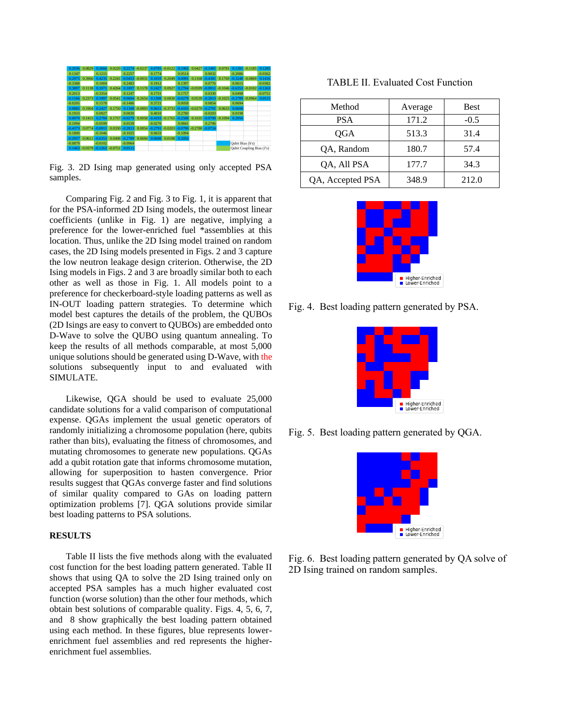| 0.2036    | 0.0829            | 0.2666             | 0.0220 |           | $0.2274 - 0.0237$ |                    | $0.0785 - 0.0122$ | 0.1002             | 0.0427             | $-0.1481$          | 0.0781             |                           | $0.1281 - 0.1185$ | 0.1285    |
|-----------|-------------------|--------------------|--------|-----------|-------------------|--------------------|-------------------|--------------------|--------------------|--------------------|--------------------|---------------------------|-------------------|-----------|
| 0.1347    |                   | 0.1215             |        | 0.2257    |                   | 0.1774             |                   | 0.0514             |                    | 0.0032             |                    | $-0.2086$                 |                   | $-0.0362$ |
| 0.2975    | 0.3966            | 0.4235             | 0.2241 | $-0.0453$ | $-0.0031$         | 0.1010             | 0.2049            | 0.0091             | 0.1168             | $-0.4381$          | 0.1769             | $-0.3240 - 0.0869$        |                   | 0.1416    |
| $-0.3388$ |                   | 0.1004             |        | 0.2483    |                   | 0.1912             |                   | 0.1397             |                    | 0.0776             |                    | 0.0615                    |                   | $-0.0382$ |
| 0.3897    | 0.1138            | 0.1971             | 0.4264 | 0.1897    | 0.1578            | 0.2427             | 0.0927            | 0.2784             | $-0.0599$          |                    | $-0.0911 - 0.1046$ | $-0.6353$                 | $-0.0102$         | $-0.1263$ |
| 0.2013    |                   | $-0.3354$          |        | 0.1247    |                   | 0.1751             |                   | 0.1757             |                    | 0.0330             |                    | 0.0498                    |                   | $-0.0751$ |
| $-0.1166$ | 0.2373            | 0.1897             | 0.0541 | 0.0694    | 0.2654            | 0.1308             | 0.0830            | $-0.0279$          | 0.0539             | $-0.2813 - 0.1025$ |                    | $-0.2789 - 0.0964$        |                   | 0.0515    |
| $-0.0205$ |                   | 0.1578             |        | $-0.1486$ |                   | 0.3721             |                   | 0.0058             |                    | 0.0854             |                    | 0.0694                    |                   |           |
| 0.0882    | 0.1904            | 0.2427             | 0.1750 |           | $0.1308 - 0.0893$ |                    | $0.0651 - 0.3733$ |                    | $-0.4103 - 0.0270$ | $-0.2791$          | 0.0633             | 0.0698                    |                   |           |
| 0.1933    |                   | 0.0927             |        | 0.0830    |                   | 0.4010             |                   | 0.2780             |                    | $-0.0203$          |                    | 0.0198                    |                   |           |
| 0.0070    | 0.1415            | 0.2784             | 0.1757 | $-0.0279$ | 0.0058            | $-0.4103 - 0.1765$ |                   | $-0.2588$          | 0.1635             | $-0.0790 - 0.1094$ |                    | 0.2056                    |                   |           |
| 0.1094    |                   | $-0.0599$          |        | 0.0539    |                   | $-0.0270$          |                   | 0.0841             |                    | 0.2706             |                    |                           |                   |           |
| $-0.4373$ | 0.0774            | $-0.0911$          | 0.0330 | $-0.2813$ | 0.0854            | $-0.2791$          | $-0.0203$         | $-0.0790 - 0.2788$ |                    | $-0.0724$          |                    |                           |                   |           |
| 0.1800    |                   | $-0.1046$          |        | $-0.1025$ |                   | 0.0633             |                   | $-0.1094$          |                    |                    |                    |                           |                   |           |
| $-0.2957$ | 0.0611            | $-0.6353$          | 0.0498 | $-0.2789$ | 0.0694            | 0.0698             | 0.0198            | 0.2056             |                    |                    |                    |                           |                   |           |
| $-0.0879$ |                   | $-0.0102$          |        | $-0.0964$ |                   |                    |                   |                    |                    |                    |                    | Oubit Bias (b's)          |                   |           |
|           | $0.1463 - 0.0379$ | $-0.1263 - 0.0751$ |        | 0.0515    |                   |                    |                   |                    |                    |                    |                    | Qubit Coupling Bias (J's) |                   |           |

Fig. 3. 2D Ising map generated using only accepted PSA samples.

Comparing Fig. 2 and Fig. 3 to Fig. 1, it is apparent that for the PSA-informed 2D Ising models, the outermost linear coefficients (unlike in Fig. 1) are negative, implying a preference for the lower-enriched fuel \*assemblies at this location. Thus, unlike the 2D Ising model trained on random cases, the 2D Ising models presented in Figs. 2 and 3 capture the low neutron leakage design criterion. Otherwise, the 2D Ising models in Figs. 2 and 3 are broadly similar both to each other as well as those in Fig. 1. All models point to a preference for checkerboard-style loading patterns as well as IN-OUT loading pattern strategies. To determine which model best captures the details of the problem, the QUBOs (2D Isings are easy to convert to QUBOs) are embedded onto D-Wave to solve the QUBO using quantum annealing. To keep the results of all methods comparable, at most 5,000 unique solutions should be generated using D-Wave, with the solutions subsequently input to and evaluated with SIMULATE.

Likewise, QGA should be used to evaluate 25,000 candidate solutions for a valid comparison of computational expense. QGAs implement the usual genetic operators of randomly initializing a chromosome population (here, qubits rather than bits), evaluating the fitness of chromosomes, and mutating chromosomes to generate new populations. QGAs add a qubit rotation gate that informs chromosome mutation, allowing for superposition to hasten convergence. Prior results suggest that QGAs converge faster and find solutions of similar quality compared to GAs on loading pattern optimization problems [7]. QGA solutions provide similar best loading patterns to PSA solutions.

### **RESULTS**

Table II lists the five methods along with the evaluated cost function for the best loading pattern generated. Table II shows that using QA to solve the 2D Ising trained only on accepted PSA samples has a much higher evaluated cost function (worse solution) than the other four methods, which obtain best solutions of comparable quality. Figs. 4, 5, 6, 7, and 8 show graphically the best loading pattern obtained using each method. In these figures, blue represents lowerenrichment fuel assemblies and red represents the higherenrichment fuel assemblies.

TABLE II. Evaluated Cost Function

| Method           | Average | Best   |  |  |
|------------------|---------|--------|--|--|
| <b>PSA</b>       | 171.2   | $-0.5$ |  |  |
| OGA              | 513.3   | 31.4   |  |  |
| QA, Random       | 180.7   | 57.4   |  |  |
| QA, All PSA      | 177.7   | 34.3   |  |  |
| QA, Accepted PSA | 348.9   | 212.0  |  |  |



Fig. 4. Best loading pattern generated by PSA.



Fig. 5. Best loading pattern generated by QGA.



Fig. 6. Best loading pattern generated by QA solve of 2D Ising trained on random samples.